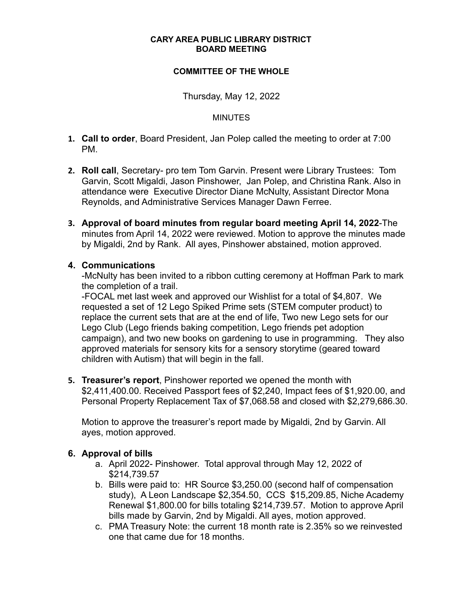#### **CARY AREA PUBLIC LIBRARY DISTRICT BOARD MEETING**

## **COMMITTEE OF THE WHOLE**

Thursday, May 12, 2022

### **MINUTES**

- **1. Call to order**, Board President, Jan Polep called the meeting to order at 7:00 PM.
- **2. Roll call**, Secretary- pro tem Tom Garvin. Present were Library Trustees: Tom Garvin, Scott Migaldi, Jason Pinshower, Jan Polep, and Christina Rank. Also in attendance were Executive Director Diane McNulty, Assistant Director Mona Reynolds, and Administrative Services Manager Dawn Ferree.
- **3. Approval of board minutes from regular board meeting April 14, 2022**-The minutes from April 14, 2022 were reviewed. Motion to approve the minutes made by Migaldi, 2nd by Rank. All ayes, Pinshower abstained, motion approved.

## **4. Communications**

-McNulty has been invited to a ribbon cutting ceremony at Hoffman Park to mark the completion of a trail.

-FOCAL met last week and approved our Wishlist for a total of \$4,807. We requested a set of 12 Lego Spiked Prime sets (STEM computer product) to replace the current sets that are at the end of life, Two new Lego sets for our Lego Club (Lego friends baking competition, Lego friends pet adoption campaign), and two new books on gardening to use in programming. They also approved materials for sensory kits for a sensory storytime (geared toward children with Autism) that will begin in the fall.

**5. Treasurer's report**, Pinshower reported we opened the month with \$2,411,400.00. Received Passport fees of \$2,240, Impact fees of \$1,920.00, and Personal Property Replacement Tax of \$7,068.58 and closed with \$2,279,686.30.

Motion to approve the treasurer's report made by Migaldi, 2nd by Garvin. All ayes, motion approved.

## **6. Approval of bills**

- a. April 2022- Pinshower. Total approval through May 12, 2022 of \$214,739.57
- b. Bills were paid to: HR Source \$3,250.00 (second half of compensation study), A Leon Landscape \$2,354.50, CCS \$15,209.85, Niche Academy Renewal \$1,800.00 for bills totaling \$214,739.57. Motion to approve April bills made by Garvin, 2nd by Migaldi. All ayes, motion approved.
- c. PMA Treasury Note: the current 18 month rate is 2.35% so we reinvested one that came due for 18 months.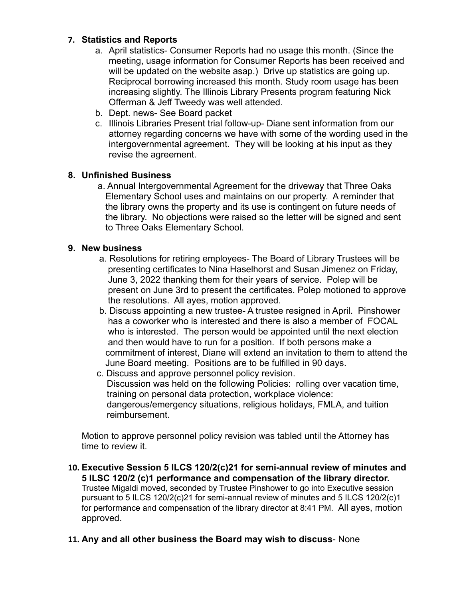# **7. Statistics and Reports**

- a. April statistics- Consumer Reports had no usage this month. (Since the meeting, usage information for Consumer Reports has been received and will be updated on the website asap.) Drive up statistics are going up. Reciprocal borrowing increased this month. Study room usage has been increasing slightly. The Illinois Library Presents program featuring Nick Offerman & Jeff Tweedy was well attended.
- b. Dept. news- See Board packet
- c. Illinois Libraries Present trial follow-up- Diane sent information from our attorney regarding concerns we have with some of the wording used in the intergovernmental agreement. They will be looking at his input as they revise the agreement.

# **8. Unfinished Business**

a. Annual Intergovernmental Agreement for the driveway that Three Oaks Elementary School uses and maintains on our property. A reminder that the library owns the property and its use is contingent on future needs of the library. No objections were raised so the letter will be signed and sent to Three Oaks Elementary School.

# **9. New business**

- a. Resolutions for retiring employees- The Board of Library Trustees will be presenting certificates to Nina Haselhorst and Susan Jimenez on Friday, June 3, 2022 thanking them for their years of service. Polep will be present on June 3rd to present the certificates. Polep motioned to approve the resolutions. All ayes, motion approved.
- b. Discuss appointing a new trustee- A trustee resigned in April. Pinshower has a coworker who is interested and there is also a member of FOCAL who is interested. The person would be appointed until the next election and then would have to run for a position. If both persons make a commitment of interest, Diane will extend an invitation to them to attend the June Board meeting. Positions are to be fulfilled in 90 days.
- c. Discuss and approve personnel policy revision. Discussion was held on the following Policies: rolling over vacation time, training on personal data protection, workplace violence: dangerous/emergency situations, religious holidays, FMLA, and tuition reimbursement.

Motion to approve personnel policy revision was tabled until the Attorney has time to review it.

- **10. Executive Session 5 ILCS 120/2(c)21 for semi-annual review of minutes and 5 ILSC 120/2 (c)1 performance and compensation of the library director.** Trustee Migaldi moved, seconded by Trustee Pinshower to go into Executive session pursuant to 5 ILCS 120/2(c)21 for semi-annual review of minutes and 5 ILCS 120/2(c)1 for performance and compensation of the library director at 8:41 PM. All ayes, motion approved.
- **11. Any and all other business the Board may wish to discuss** None